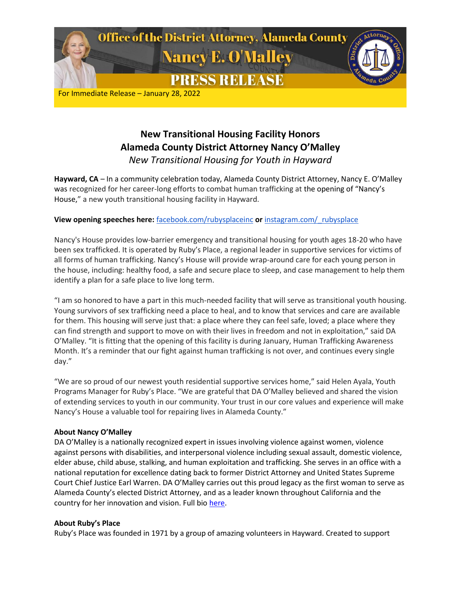

# **New Transitional Housing Facility Honors Alameda County District Attorney Nancy O'Malley** *New Transitional Housing for Youth in Hayward*

**Hayward, CA** *–* In a community celebration today, Alameda County District Attorney, Nancy E. O'Malley was recognized for her career-long efforts to combat human trafficking at the opening of "Nancy's House," a new youth transitional housing facility in Hayward.

## **View opening speeches here:** [facebook.com/rubysplaceinc](http://facebook.com/rubysplaceinc) **or** [instagram.com/\\_rubysplace](http://instagram.com/_rubysplace)

Nancy's House provides low-barrier emergency and transitional housing for youth ages 18-20 who have been sex trafficked. It is operated by Ruby's Place, a regional leader in supportive services for victims of all forms of human trafficking. Nancy's House will provide wrap-around care for each young person in the house, including: healthy food, a safe and secure place to sleep, and case management to help them identify a plan for a safe place to live long term.

"I am so honored to have a part in this much-needed facility that will serve as transitional youth housing. Young survivors of sex trafficking need a place to heal, and to know that services and care are available for them. This housing will serve just that: a place where they can feel safe, loved; a place where they can find strength and support to move on with their lives in freedom and not in exploitation," said DA O'Malley. "It is fitting that the opening of this facility is during January, Human Trafficking Awareness Month. It's a reminder that our fight against human trafficking is not over, and continues every single day."

"We are so proud of our newest youth residential supportive services home," said Helen Ayala, Youth Programs Manager for Ruby's Place. "We are grateful that DA O'Malley believed and shared the vision of extending services to youth in our community. Your trust in our core values and experience will make Nancy's House a valuable tool for repairing lives in Alameda County."

## **About Nancy O'Malley**

DA O'Malley is a nationally recognized expert in issues involving violence against women, violence against persons with disabilities, and interpersonal violence including sexual assault, domestic violence, elder abuse, child abuse, stalking, and human exploitation and trafficking. She serves in an office with a national reputation for excellence dating back to former District Attorney and United States Supreme Court Chief Justice Earl Warren. DA O'Malley carries out this proud legacy as the first woman to serve as Alameda County's elected District Attorney, and as a leader known throughout California and the country for her innovation and vision. Full bio [here.](https://www.alcoda.org/about_us/nancy_bio)

### **About Ruby's Place**

Ruby's Place was founded in 1971 by a group of amazing volunteers in Hayward. Created to support